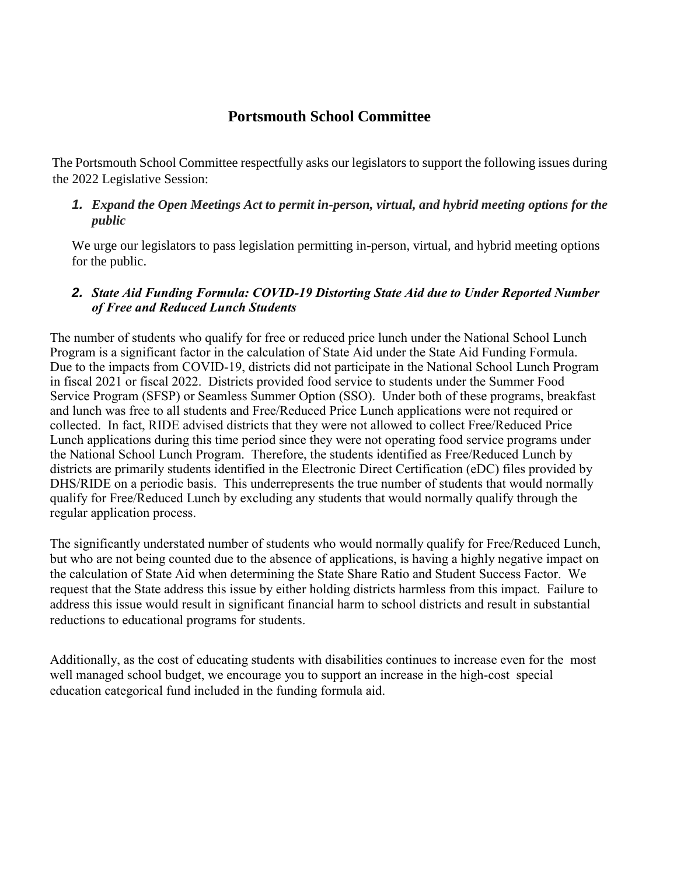# **Portsmouth School Committee**

The Portsmouth School Committee respectfully asks our legislators to support the following issues during the 2022 Legislative Session:

### *1. Expand the Open Meetings Act to permit in-person, virtual, and hybrid meeting options for the public*

We urge our legislators to pass legislation permitting in-person, virtual, and hybrid meeting options for the public.

### *2. State Aid Funding Formula: COVID-19 Distorting State Aid due to Under Reported Number of Free and Reduced Lunch Students*

The number of students who qualify for free or reduced price lunch under the National School Lunch Program is a significant factor in the calculation of State Aid under the State Aid Funding Formula. Due to the impacts from COVID-19, districts did not participate in the National School Lunch Program in fiscal 2021 or fiscal 2022. Districts provided food service to students under the Summer Food Service Program (SFSP) or Seamless Summer Option (SSO). Under both of these programs, breakfast and lunch was free to all students and Free/Reduced Price Lunch applications were not required or collected. In fact, RIDE advised districts that they were not allowed to collect Free/Reduced Price Lunch applications during this time period since they were not operating food service programs under the National School Lunch Program. Therefore, the students identified as Free/Reduced Lunch by districts are primarily students identified in the Electronic Direct Certification (eDC) files provided by DHS/RIDE on a periodic basis. This underrepresents the true number of students that would normally qualify for Free/Reduced Lunch by excluding any students that would normally qualify through the regular application process.

The significantly understated number of students who would normally qualify for Free/Reduced Lunch, but who are not being counted due to the absence of applications, is having a highly negative impact on the calculation of State Aid when determining the State Share Ratio and Student Success Factor. We request that the State address this issue by either holding districts harmless from this impact. Failure to address this issue would result in significant financial harm to school districts and result in substantial reductions to educational programs for students.

Additionally, as the cost of educating students with disabilities continues to increase even for the most well managed school budget, we encourage you to support an increase in the high-cost special education categorical fund included in the funding formula aid.